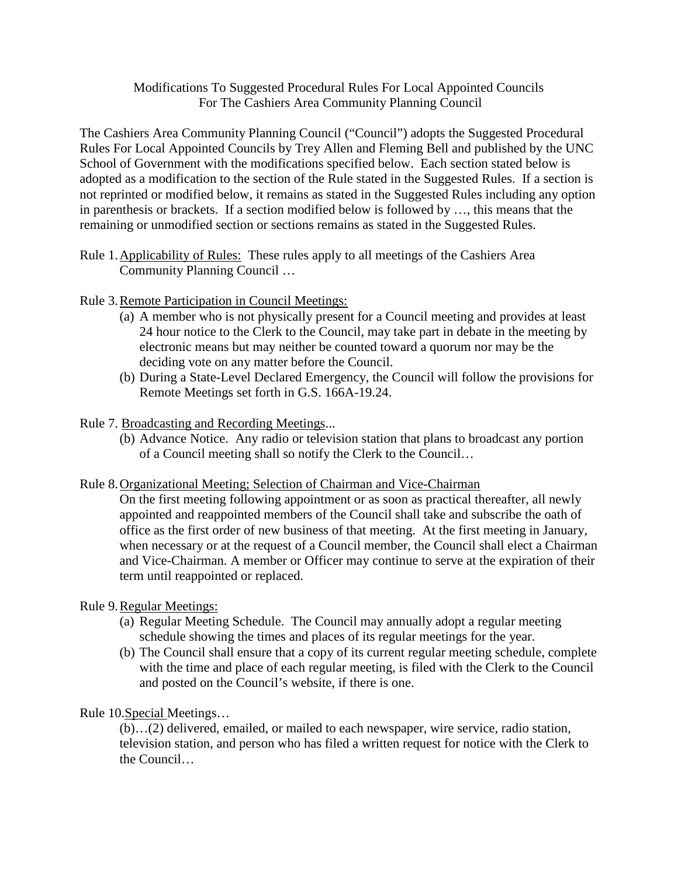# Modifications To Suggested Procedural Rules For Local Appointed Councils For The Cashiers Area Community Planning Council

The Cashiers Area Community Planning Council ("Council") adopts the Suggested Procedural Rules For Local Appointed Councils by Trey Allen and Fleming Bell and published by the UNC School of Government with the modifications specified below. Each section stated below is adopted as a modification to the section of the Rule stated in the Suggested Rules. If a section is not reprinted or modified below, it remains as stated in the Suggested Rules including any option in parenthesis or brackets. If a section modified below is followed by …, this means that the remaining or unmodified section or sections remains as stated in the Suggested Rules.

Rule 1.Applicability of Rules: These rules apply to all meetings of the Cashiers Area Community Planning Council …

# Rule 3.Remote Participation in Council Meetings:

- (a) A member who is not physically present for a Council meeting and provides at least 24 hour notice to the Clerk to the Council, may take part in debate in the meeting by electronic means but may neither be counted toward a quorum nor may be the deciding vote on any matter before the Council.
- (b) During a State-Level Declared Emergency, the Council will follow the provisions for Remote Meetings set forth in G.S. 166A-19.24.

# Rule 7. Broadcasting and Recording Meetings...

(b) Advance Notice. Any radio or television station that plans to broadcast any portion of a Council meeting shall so notify the Clerk to the Council…

## Rule 8.Organizational Meeting; Selection of Chairman and Vice-Chairman

On the first meeting following appointment or as soon as practical thereafter, all newly appointed and reappointed members of the Council shall take and subscribe the oath of office as the first order of new business of that meeting. At the first meeting in January, when necessary or at the request of a Council member, the Council shall elect a Chairman and Vice-Chairman. A member or Officer may continue to serve at the expiration of their term until reappointed or replaced.

## Rule 9.Regular Meetings:

- (a) Regular Meeting Schedule. The Council may annually adopt a regular meeting schedule showing the times and places of its regular meetings for the year.
- (b) The Council shall ensure that a copy of its current regular meeting schedule, complete with the time and place of each regular meeting, is filed with the Clerk to the Council and posted on the Council's website, if there is one.

Rule 10.Special Meetings…

(b)…(2) delivered, emailed, or mailed to each newspaper, wire service, radio station, television station, and person who has filed a written request for notice with the Clerk to the Council…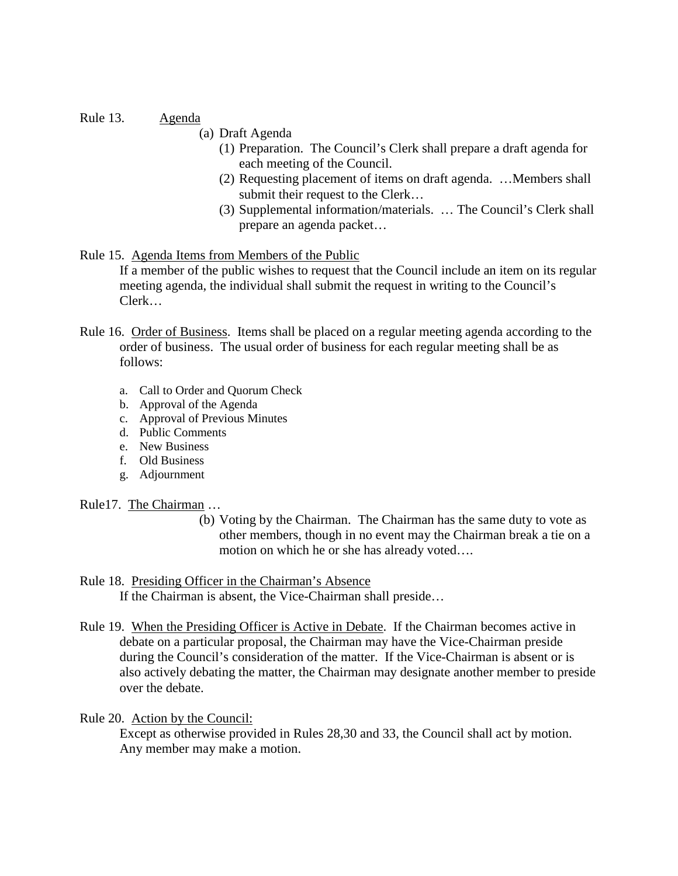Rule 13. Agenda

- (a) Draft Agenda
	- (1) Preparation. The Council's Clerk shall prepare a draft agenda for each meeting of the Council.
	- (2) Requesting placement of items on draft agenda. …Members shall submit their request to the Clerk…
	- (3) Supplemental information/materials. … The Council's Clerk shall prepare an agenda packet…

# Rule 15. Agenda Items from Members of the Public

If a member of the public wishes to request that the Council include an item on its regular meeting agenda, the individual shall submit the request in writing to the Council's Clerk…

- Rule 16. Order of Business. Items shall be placed on a regular meeting agenda according to the order of business. The usual order of business for each regular meeting shall be as follows:
	- a. Call to Order and Quorum Check
	- b. Approval of the Agenda
	- c. Approval of Previous Minutes
	- d. Public Comments
	- e. New Business
	- f. Old Business
	- g. Adjournment

Rule17. The Chairman …

(b) Voting by the Chairman. The Chairman has the same duty to vote as other members, though in no event may the Chairman break a tie on a motion on which he or she has already voted….

# Rule 18. Presiding Officer in the Chairman's Absence

If the Chairman is absent, the Vice-Chairman shall preside…

Rule 19. When the Presiding Officer is Active in Debate. If the Chairman becomes active in debate on a particular proposal, the Chairman may have the Vice-Chairman preside during the Council's consideration of the matter. If the Vice-Chairman is absent or is also actively debating the matter, the Chairman may designate another member to preside over the debate.

Rule 20. Action by the Council:

Except as otherwise provided in Rules 28,30 and 33, the Council shall act by motion. Any member may make a motion.